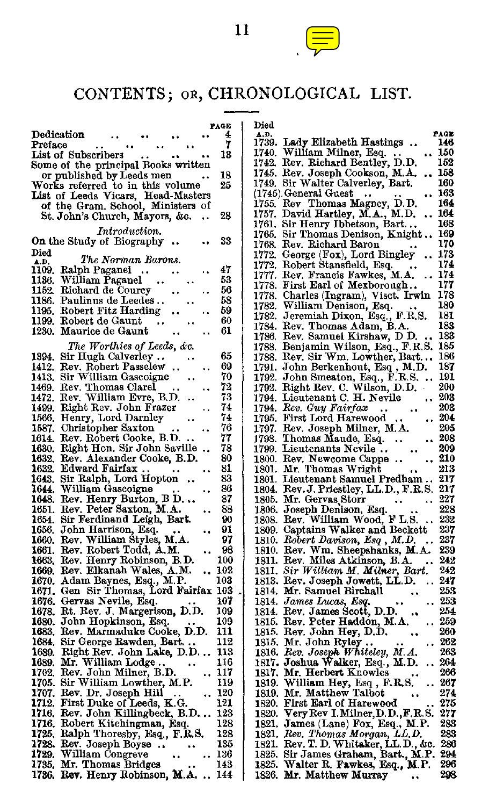

11

| PAGE                                                                   | Died                                                                              |
|------------------------------------------------------------------------|-----------------------------------------------------------------------------------|
| 4<br>Dedication                                                        | PAGE<br>A.D.<br>1739. Lady Elizabeth Hastings<br>146                              |
| ï                                                                      | 1740. William Milner, Esq.                                                        |
| Preface                                                                | 150                                                                               |
| 18                                                                     | 1742. Rev. Richard Bentley, D.D.                                                  |
| List of Subscribers                                                    | 152                                                                               |
| Some of the principal Books written<br>or published by Leeds men<br>18 | 1745. Rev. Joseph Cookson, M.A.<br>158                                            |
| 25                                                                     | 160<br>1749. Sir Walter Calverley, Bart.                                          |
| Works referred to in this volume<br>List of Leeds Vicars, Head-Masters | 163<br>(1745). General Guest<br>$\ddot{\phantom{0}}$                              |
| of the Gram. School, Ministers of                                      | 1755. Rev Thomas Magney, D.D.<br>164                                              |
| 28                                                                     | 1757. David Hartley, M.A., M.D.                                                   |
| St. John's Church, Mayors, &c.                                         | 164                                                                               |
|                                                                        | 168<br>1761. Sir Henry Ibbetson, Bart                                             |
| Introduction.                                                          | 169<br>1765. Sir Thomas Denison, Knight 1768. Rev. Richard Baron                  |
| 33<br>On the Study of Biography                                        | 170                                                                               |
| Died                                                                   | 173                                                                               |
| The Norman Barons.                                                     | 1772. George (Fox), Lord Bingley                                                  |
| A.D.<br>1109. Ralph Paganel<br>47<br>$\ddotsc$                         | 1772. Robert Stansfield, Esq.<br>174                                              |
| 1136. William Paganel                                                  | 1777. Rev. Francis Fawkes, M.A.                                                   |
| 53                                                                     | 174                                                                               |
| 56                                                                     | 177                                                                               |
| 1152. Richard de Courcy                                                | 1778. First Earl of Mexborough                                                    |
| 1186. Paulinus de Leedes<br>58                                         | 178<br>1778. Charles (Ingram), Visct. Irwin<br>1782. William Denison, Esq.<br>180 |
| 1195. Robert Fitz Harding<br>59                                        | 181                                                                               |
| 60                                                                     | 1782. Jeremiah Dixon, Esq., F.R.S.                                                |
| 1199. Robert de Gaunt                                                  | 183                                                                               |
| 61<br>1230. Maurice de Gaunt                                           | 1784. Rev. Thomas Adam, B.A.<br>1786. Rev. Samuel Kirshaw, D D.<br>183            |
| The Worthies of Leeds, &c.                                             | 1788. Benjamin Wilson, Esq., F.R.S. 185                                           |
| 65<br>1394. Sir Hugh Calverley                                         | 1788. Rev. Sir Wm. Lowther, Bart 186                                              |
| 69<br>1412. Rev. Robert Passelew                                       |                                                                                   |
| 1413. Sir William Gascoigne<br>70                                      | 1791. John Berkenhout, Esq., M.D. 187<br>1792. John Smeaton, Esq., F.R.S.  191    |
| 72<br>1469. Rev. Thomas Clarel<br>٠.                                   | 1792. Right Rev. C. Wilson, D.D.<br>200                                           |
| 1472. Rev. William Evre, B.D.                                          | 1794. Lieutenant C. H. Nevile                                                     |
| 73                                                                     | 203                                                                               |
| 74                                                                     | 203                                                                               |
| 1499. Right Rev. John Frazer                                           | 1794. Rev. Guy Fairfax                                                            |
| 74                                                                     | 204                                                                               |
| 1566. Henry, Lord Darnley                                              | 1795. First Lord Harewood                                                         |
| 1587. Christopher Saxton                                               | 205                                                                               |
| 76                                                                     | 1797. Rev. Joseph Milner, M.A.                                                    |
| 1614. Rev. Robert Cooke, B.D.<br>77                                    | 1798. Thomas Maude, Esq.<br>208<br>$\ddot{\phantom{0}}$                           |
| 78                                                                     | 209                                                                               |
| 1630. Right Hon. Sir John Saville                                      | 1799. Lieutenants Nevile                                                          |
| 80                                                                     | $\ldots 210$                                                                      |
| 1632. Rev. Alexander Cooke, B.D.                                       | 1800. Rev. Newcome Cappe                                                          |
| 1632. Edward Fairfax<br>81<br>83                                       | 1801. Mr. Thomas Wright  213<br>1801. Lieutenant Samuel Predham 217               |
| 1643. Sir Ralph, Lord Hopton<br>86                                     |                                                                                   |
| 1644. William Gascoigne                                                | 1804. Rev. J. Priestley, LL.D., F.R.S. 217                                        |
| 1648. Rev. Henry Burton, B D                                           | 227                                                                               |
| 87                                                                     | 1805. Mr. Gervas Storr                                                            |
| 1651. Rev. Peter Saxton, M.A.                                          | 228                                                                               |
| 88                                                                     | 1806. Joseph Denison, Esq.                                                        |
| 1654. Sir Ferdinand Leigh, Bart.                                       | 1808. Rev. William Wood, F L S.                                                   |
| 90                                                                     | 232                                                                               |
| 1656. John Harrison, Esq.                                              | 1809. Captains Walker and Beckett                                                 |
| 91                                                                     | 237                                                                               |
| 1660. Rev. William Styles, M.A.<br>97                                  | 1810. Robert Davison, Esq., M.D.<br>237<br>$\ddot{\phantom{a}}$                   |
| 1661. Rev. Robert Todd, A.M.                                           | 1810. Rev. Wm. Sheepshanks, M.A.                                                  |
| 98                                                                     | 239                                                                               |
| 1663. Rev. Henry Robinson, B.D.                                        | 1811. Rev. Miles Atkinson, B.A.                                                   |
| 100                                                                    | 242                                                                               |
| 1669. Rev. Elkanah Wales, A.M.                                         | 1811. Sir William M. Milner, Bart.                                                |
| 102                                                                    | 242                                                                               |
| 1670. Adam Baynes, Esq., M.P.<br>103                                   | 1813. Rev. Joseph Jowett, LL D.<br>247<br>$\sim$                                  |
| 1671. Gen Sir Thomas, Lord Fairfax 103                                 | 253<br>1814. Mr. Samuel Birchall                                                  |
| 107                                                                    | 253                                                                               |
| 1676. Gervas Nevile, Esq.                                              | 1814. James Lucas, Esq.                                                           |
| 1678. Rt. Rev. J. Margerison, D.D.<br>109                              | 1814. Rev. James Scott, D.D.<br>254<br>259                                        |
| 109<br>1680. John Hopkinson, Esq.<br>111                               | 1815. Rev. Peter Haddon, M.A.<br>260                                              |
| 1683. Rev. Marmaduke Cooke, D.D.                                       | 1815. Rev. John Hey, D.D.                                                         |
| 1684. Sir George Rawden, Bart                                          | 262                                                                               |
| 112                                                                    | 1815. Mr. John Ryley                                                              |
| 113                                                                    | 263                                                                               |
| 1689. Right Rev. John Lake, D.D                                        | 1816. Rev. Joseph Whiteley, M.A.                                                  |
| 116                                                                    | 264                                                                               |
| 1689. Mr. William Lodge                                                | 1817. Joshua Walker, Esq., M.D.                                                   |
| 1702. Rev. John Milner, B.D.                                           | 1817. Mr. Herbert Knowles                                                         |
| 117                                                                    | 266                                                                               |
| 1705. Sir William Lowther, M.P.<br>119                                 | -267<br>1819. William Hey, Esq., F.R.S.<br>                                       |
| 120                                                                    | 274                                                                               |
| 1707. Rev. Dr. Joseph Hill                                             | 1819. Mr. Matthew Talbot                                                          |
| 121                                                                    | 1820. First Earl of Harewood                                                      |
| 1712. First Duke of Leeds, K.G.                                        | 275                                                                               |
| 1716. Rev. John Killingbeck, B.D                                       | 1820. Very Rev I. Milner, D.D., F.R.S.                                            |
| 123                                                                    | 277                                                                               |
| 128                                                                    | 283                                                                               |
| 1716. Robert Kitchingman, Esq.                                         | 1821. James (Lane) Fox, Esq., M.P.                                                |
| 1725. Ralph Thoresby, Esq., F.R.S.                                     | 1821. Rev. Thomas Morgan, LL.D.                                                   |
| 128                                                                    | 283                                                                               |
| 1728. Rev. Joseph Boyse                                                | 1821. Rev. T. D. Whitaker, L.L.D., &c.                                            |
| 135                                                                    | 286                                                                               |
| 1729. William Congreve                                                 | 1825. Sir James Graham, Bart., M.P.                                               |
| 136                                                                    | 294                                                                               |
| 1735. Mr. Thomas Bridges                                               | 1825. Walter R. Fawkes, Esq., M.P.                                                |
| 143                                                                    | 296                                                                               |
| 1736, Rev. Henry Robinson, M.A                                         | 1826. Mr. Matthew Murray                                                          |
| 144                                                                    | 298                                                                               |